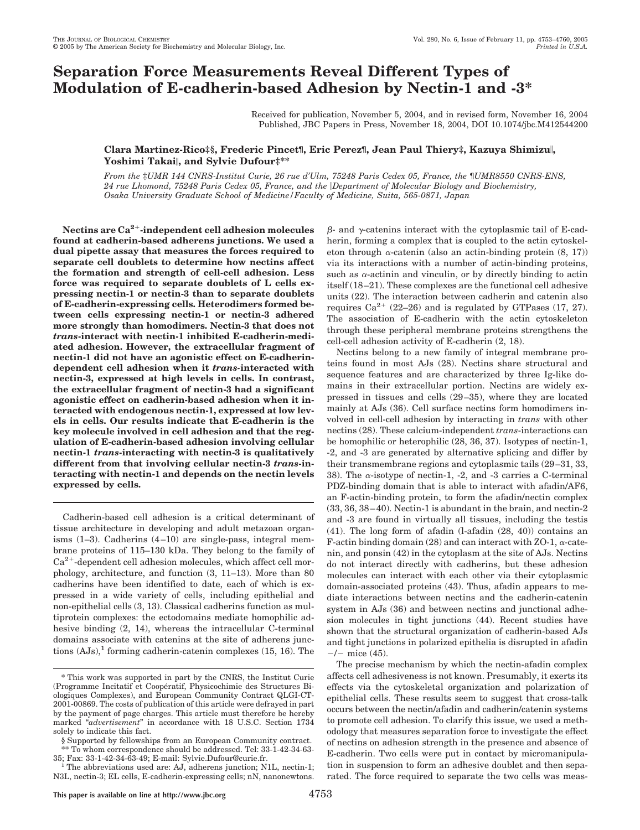# **Separation Force Measurements Reveal Different Types of Modulation of E-cadherin-based Adhesion by Nectin-1 and -3\***

Received for publication, November 5, 2004, and in revised form, November 16, 2004 Published, JBC Papers in Press, November 18, 2004, DOI 10.1074/jbc.M412544200

## **Clara Martinez-Rico‡§, Frederic Pincet¶, Eric Perez¶, Jean Paul Thiery‡, Kazuya Shimizu, Yoshimi Takai, and Sylvie Dufour‡\*\***

*From the* ‡*UMR 144 CNRS-Institut Curie, 26 rue d'Ulm, 75248 Paris Cedex 05, France, the* ¶*UMR8550 CNRS-ENS, 24 rue Lhomond, 75248 Paris Cedex 05, France, and the Department of Molecular Biology and Biochemistry, Osaka University Graduate School of Medicine/Faculty of Medicine, Suita, 565-0871, Japan*

**Nectins are Ca2-independent cell adhesion molecules found at cadherin-based adherens junctions. We used a dual pipette assay that measures the forces required to separate cell doublets to determine how nectins affect the formation and strength of cell-cell adhesion. Less force was required to separate doublets of L cells expressing nectin-1 or nectin-3 than to separate doublets of E-cadherin-expressing cells. Heterodimers formed between cells expressing nectin-1 or nectin-3 adhered more strongly than homodimers. Nectin-3 that does not** *trans***-interact with nectin-1 inhibited E-cadherin-mediated adhesion. However, the extracellular fragment of nectin-1 did not have an agonistic effect on E-cadherindependent cell adhesion when it** *trans-***interacted with nectin-3, expressed at high levels in cells. In contrast, the extracellular fragment of nectin-3 had a significant agonistic effect on cadherin-based adhesion when it interacted with endogenous nectin-1, expressed at low levels in cells. Our results indicate that E-cadherin is the key molecule involved in cell adhesion and that the regulation of E-cadherin-based adhesion involving cellular nectin-1** *trans***-interacting with nectin-3 is qualitatively different from that involving cellular nectin-3** *trans***-interacting with nectin-1 and depends on the nectin levels expressed by cells.**

Cadherin-based cell adhesion is a critical determinant of tissue architecture in developing and adult metazoan organisms (1–3). Cadherins (4 –10) are single-pass, integral membrane proteins of 115–130 kDa. They belong to the family of  $Ca<sup>2+</sup>$ -dependent cell adhesion molecules, which affect cell morphology, architecture, and function (3, 11–13). More than 80 cadherins have been identified to date, each of which is expressed in a wide variety of cells, including epithelial and non-epithelial cells (3, 13). Classical cadherins function as multiprotein complexes: the ectodomains mediate homophilic adhesive binding (2, 14), whereas the intracellular C-terminal domains associate with catenins at the site of adherens junctions  $(AJs)$ ,<sup>1</sup> forming cadherin-catenin complexes (15, 16). The

<sup>1</sup>The abbreviations used are: AJ, adherens junction; N1L, nectin-1; N3L, nectin-3; EL cells, E-cadherin-expressing cells; nN, nanonewtons.

 $\beta$ - and  $\gamma$ -catenins interact with the cytoplasmic tail of E-cadherin, forming a complex that is coupled to the actin cytoskeleton through  $\alpha$ -catenin (also an actin-binding protein  $(8, 17)$ ) via its interactions with a number of actin-binding proteins, such as  $\alpha$ -actinin and vinculin, or by directly binding to actin itself (18 –21). These complexes are the functional cell adhesive units (22). The interaction between cadherin and catenin also requires  $Ca^{2+}$  (22–26) and is regulated by GTPases (17, 27). The association of E-cadherin with the actin cytoskeleton through these peripheral membrane proteins strengthens the cell-cell adhesion activity of E-cadherin (2, 18).

Nectins belong to a new family of integral membrane proteins found in most AJs (28). Nectins share structural and sequence features and are characterized by three Ig-like domains in their extracellular portion. Nectins are widely expressed in tissues and cells (29 –35), where they are located mainly at AJs (36). Cell surface nectins form homodimers involved in cell-cell adhesion by interacting in *trans* with other nectins (28). These calcium-independent *trans*-interactions can be homophilic or heterophilic (28, 36, 37). Isotypes of nectin-1, -2, and -3 are generated by alternative splicing and differ by their transmembrane regions and cytoplasmic tails (29 –31, 33, 38). The  $\alpha$ -isotype of nectin-1, -2, and -3 carries a C-terminal PDZ-binding domain that is able to interact with afadin/AF6, an F-actin-binding protein, to form the afadin/nectin complex  $(33, 36, 38-40)$ . Nectin-1 is abundant in the brain, and nectin-2 and -3 are found in virtually all tissues, including the testis (41). The long form of afadin (l-afadin (28, 40)) contains an F-actin binding domain (28) and can interact with ZO-1,  $\alpha$ -catenin, and ponsin (42) in the cytoplasm at the site of AJs. Nectins do not interact directly with cadherins, but these adhesion molecules can interact with each other via their cytoplasmic domain-associated proteins (43). Thus, afadin appears to mediate interactions between nectins and the cadherin-catenin system in AJs (36) and between nectins and junctional adhesion molecules in tight junctions (44). Recent studies have shown that the structural organization of cadherin-based AJs and tight junctions in polarized epithelia is disrupted in afadin  $-/-$  mice (45).

The precise mechanism by which the nectin-afadin complex affects cell adhesiveness is not known. Presumably, it exerts its effects via the cytoskeletal organization and polarization of epithelial cells. These results seem to suggest that cross-talk occurs between the nectin/afadin and cadherin/catenin systems to promote cell adhesion. To clarify this issue, we used a methodology that measures separation force to investigate the effect of nectins on adhesion strength in the presence and absence of E-cadherin. Two cells were put in contact by micromanipulation in suspension to form an adhesive doublet and then separated. The force required to separate the two cells was meas-

<sup>\*</sup> This work was supported in part by the CNRS, the Institut Curie (Programme Incitatif et Coopératif, Physicochimie des Structures Biologiques Complexes), and European Community Contract QLGI-CT-2001-00869. The costs of publication of this article were defrayed in part by the payment of page charges. This article must therefore be hereby marked "*advertisement*" in accordance with 18 U.S.C. Section 1734 solely to indicate this fact.

<sup>§</sup> Supported by fellowships from an European Community contract.  $*$  To whom correspondence should be addressed. Tel: 33-1-42-34-63-<br>35: Fax: 33-1-42-34-63-49: E-mail: Sylvie.Dufour@curie.fr.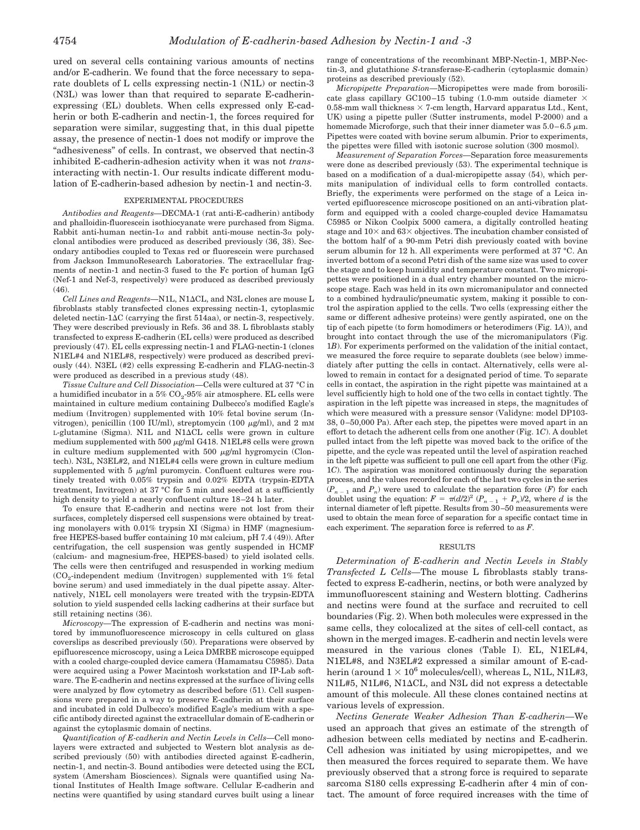ured on several cells containing various amounts of nectins and/or E-cadherin. We found that the force necessary to separate doublets of L cells expressing nectin-1 (N1L) or nectin-3 (N3L) was lower than that required to separate E-cadherinexpressing (EL) doublets. When cells expressed only E-cadherin or both E-cadherin and nectin-1, the forces required for separation were similar, suggesting that, in this dual pipette assay, the presence of nectin-1 does not modify or improve the "adhesiveness" of cells. In contrast, we observed that nectin-3 inhibited E-cadherin-adhesion activity when it was not *trans*interacting with nectin-1. Our results indicate different modulation of E-cadherin-based adhesion by nectin-1 and nectin-3.

#### EXPERIMENTAL PROCEDURES

*Antibodies and Reagents—*DECMA-1 (rat anti-E-cadherin) antibody and phalloidin-fluorescein isothiocyanate were purchased from Sigma. Rabbit anti-human nectin-1 $\alpha$  and rabbit anti-mouse nectin-3 $\alpha$  polyclonal antibodies were produced as described previously (36, 38). Secondary antibodies coupled to Texas red or fluorescein were purchased from Jackson ImmunoResearch Laboratories. The extracellular fragments of nectin-1 and nectin-3 fused to the Fc portion of human IgG (Nef-1 and Nef-3, respectively) were produced as described previously  $(46)$ 

*Cell Lines and Reagents—*N1L, N1CL, and N3L clones are mouse L fibroblasts stably transfected clones expressing nectin-1, cytoplasmic deleted nectin-1 $\Delta C$  (carrying the first 514aa), or nectin-3, respectively. They were described previously in Refs. 36 and 38. L fibroblasts stably transfected to express E-cadherin (EL cells) were produced as described previously (47). EL cells expressing nectin-1 and FLAG-nectin-1 (clones N1EL#4 and N1EL#8, respectively) were produced as described previously (44). N3EL (#2) cells expressing E-cadherin and FLAG-nectin-3 were produced as described in a previous study (48).

*Tissue Culture and Cell Dissociation—*Cells were cultured at 37 °C in a humidified incubator in a  $5\%$  CO<sub>2</sub>-95% air atmosphere. EL cells were maintained in culture medium containing Dulbecco's modified Eagle's medium (Invitrogen) supplemented with 10% fetal bovine serum (Invitrogen), penicillin (100 IU/ml), streptomycin (100  $\mu$ g/ml), and 2 mM L-glutamine (Sigma). N1L and N1CL cells were grown in culture medium supplemented with 500  $\mu$ g/ml G418. N1EL#8 cells were grown in culture medium supplemented with 500  $\mu$ g/ml hygromycin (Clontech). N3L, N3EL#2, and N1EL#4 cells were grown in culture medium supplemented with 5  $\mu$ g/ml puromycin. Confluent cultures were routinely treated with 0.05% trypsin and 0.02% EDTA (trypsin-EDTA treatment, Invitrogen) at 37 °C for 5 min and seeded at a sufficiently high density to yield a nearly confluent culture 18 –24 h later.

To ensure that E-cadherin and nectins were not lost from their surfaces, completely dispersed cell suspensions were obtained by treating monolayers with 0.01% trypsin XI (Sigma) in HMF (magnesiumfree HEPES-based buffer containing 10 mM calcium, pH 7.4 (49)). After centrifugation, the cell suspension was gently suspended in HCMF (calcium- and magnesium-free, HEPES-based) to yield isolated cells. The cells were then centrifuged and resuspended in working medium  $(CO<sub>2</sub>-independent medium (Invitrogen) supplemented with 1% fetal$ bovine serum) and used immediately in the dual pipette assay. Alternatively, N1EL cell monolayers were treated with the trypsin-EDTA solution to yield suspended cells lacking cadherins at their surface but still retaining nectins (36).

*Microscopy—*The expression of E-cadherin and nectins was monitored by immunofluorescence microscopy in cells cultured on glass coverslips as described previously (50). Preparations were observed by epifluorescence microscopy, using a Leica DMRBE microscope equipped with a cooled charge-coupled device camera (Hamamatsu C5985). Data were acquired using a Power Macintosh workstation and IP-Lab software. The E-cadherin and nectins expressed at the surface of living cells were analyzed by flow cytometry as described before (51). Cell suspensions were prepared in a way to preserve E-cadherin at their surface and incubated in cold Dulbecco's modified Eagle's medium with a specific antibody directed against the extracellular domain of E-cadherin or against the cytoplasmic domain of nectins.

*Quantification of E-cadherin and Nectin Levels in Cells—*Cell monolayers were extracted and subjected to Western blot analysis as described previously (50) with antibodies directed against E-cadherin, nectin-1, and nectin-3. Bound antibodies were detected using the ECL system (Amersham Biosciences). Signals were quantified using National Institutes of Health Image software. Cellular E-cadherin and nectins were quantified by using standard curves built using a linear range of concentrations of the recombinant MBP-Nectin-1, MBP-Nectin-3, and glutathione *S*-transferase-E-cadherin (cytoplasmic domain) proteins as described previously (52).

*Micropipette Preparation—*Micropipettes were made from borosilicate glass capillary GC100-15 tubing (1.0-mm outside diameter  $\times$ 0.58-mm wall thickness  $\times$  7-cm length, Harvard apparatus Ltd., Kent, UK) using a pipette puller (Sutter instruments, model P-2000) and a homemade Microforge, such that their inner diameter was  $5.0-6.5 \mu m$ . Pipettes were coated with bovine serum albumin. Prior to experiments, the pipettes were filled with isotonic sucrose solution (300 mosmol).

*Measurement of Separation Forces—*Separation force measurements were done as described previously (53). The experimental technique is based on a modification of a dual-micropipette assay (54), which permits manipulation of individual cells to form controlled contacts. Briefly, the experiments were performed on the stage of a Leica inverted epifluorescence microscope positioned on an anti-vibration platform and equipped with a cooled charge-coupled device Hamamatsu C5985 or Nikon Coolpix 5000 camera, a digitally controlled heating stage and  $10\times$  and  $63\times$  objectives. The incubation chamber consisted of the bottom half of a 90-mm Petri dish previously coated with bovine serum albumin for 12 h. All experiments were performed at 37 °C. An inverted bottom of a second Petri dish of the same size was used to cover the stage and to keep humidity and temperature constant. Two micropipettes were positioned in a dual entry chamber mounted on the microscope stage. Each was held in its own micromanipulator and connected to a combined hydraulic/pneumatic system, making it possible to control the aspiration applied to the cells. Two cells (expressing either the same or different adhesive proteins) were gently aspirated, one on the tip of each pipette (to form homodimers or heterodimers (Fig. 1*A*)), and brought into contact through the use of the micromanipulators (Fig. 1*B*). For experiments performed on the validation of the initial contact, we measured the force require to separate doublets (see below) immediately after putting the cells in contact. Alternatively, cells were allowed to remain in contact for a designated period of time. To separate cells in contact, the aspiration in the right pipette was maintained at a level sufficiently high to hold one of the two cells in contact tightly. The aspiration in the left pipette was increased in steps, the magnitudes of which were measured with a pressure sensor (Validyne: model DP103- 38, 0 –50,000 Pa). After each step, the pipettes were moved apart in an effort to detach the adherent cells from one another (Fig. 1*C*). A doublet pulled intact from the left pipette was moved back to the orifice of the pipette, and the cycle was repeated until the level of aspiration reached in the left pipette was sufficient to pull one cell apart from the other (Fig. 1*C*). The aspiration was monitored continuously during the separation process, and the values recorded for each of the last two cycles in the series  $(P_{n-1}$  and  $P_n$ ) were used to calculate the separation force  $(F)$  for each doublet using the equation:  $F = \pi(d/2)^2 (P_{n-1} + P_n)/2$ , where *d* is the internal diameter of left pipette. Results from 30–50 measurements were used to obtain the mean force of separation for a specific contact time in each experiment. The separation force is referred to as *F*.

#### RESULTS

*Determination of E-cadherin and Nectin Levels in Stably Transfected L Cells—*The mouse L fibroblasts stably transfected to express E-cadherin, nectins, or both were analyzed by immunofluorescent staining and Western blotting. Cadherins and nectins were found at the surface and recruited to cell boundaries (Fig. 2). When both molecules were expressed in the same cells, they colocalized at the sites of cell-cell contact, as shown in the merged images. E-cadherin and nectin levels were measured in the various clones (Table I). EL, N1EL#4, N1EL#8, and N3EL#2 expressed a similar amount of E-cadherin (around  $1 \times 10^6$  molecules/cell), whereas L, N1L, N1L#3, N1L#5, N1L#6, N1CL, and N3L did not express a detectable amount of this molecule. All these clones contained nectins at various levels of expression.

*Nectins Generate Weaker Adhesion Than E-cadherin—*We used an approach that gives an estimate of the strength of adhesion between cells mediated by nectins and E-cadherin. Cell adhesion was initiated by using micropipettes, and we then measured the forces required to separate them. We have previously observed that a strong force is required to separate sarcoma S180 cells expressing E-cadherin after 4 min of contact. The amount of force required increases with the time of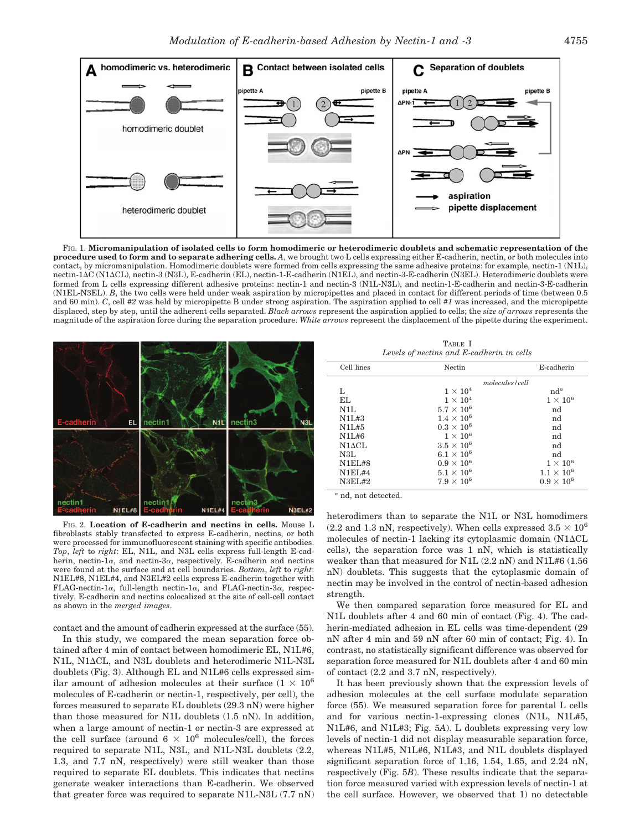

FIG. 1. **Micromanipulation of isolated cells to form homodimeric or heterodimeric doublets and schematic representation of the procedure used to form and to separate adhering cells.** *A*, we brought two L cells expressing either E-cadherin, nectin, or both molecules into contact, by micromanipulation. Homodimeric doublets were formed from cells expressing the same adhesive proteins: for example, nectin-1 (N1L), nectin-1C (N1CL), nectin-3 (N3L), E-cadherin (EL), nectin-1-E-cadherin (N1EL), and nectin-3-E-cadherin (N3EL). Heterodimeric doublets were formed from L cells expressing different adhesive proteins: nectin-1 and nectin-3 (N1L-N3L), and nectin-1-E-cadherin and nectin-3-E-cadherin (N1EL-N3EL). *B*, the two cells were held under weak aspiration by micropipettes and placed in contact for different periods of time (between 0.5 and 60 min). *C*, cell *#2* was held by micropipette B under strong aspiration. The aspiration applied to cell *#1* was increased, and the micropipette displaced, step by step, until the adherent cells separated. *Black arrows* represent the aspiration applied to cells; the *size of arrows* represents the magnitude of the aspiration force during the separation procedure. *White arrows* represent the displacement of the pipette during the experiment.



FIG. 2. **Location of E-cadherin and nectins in cells.** Mouse L fibroblasts stably transfected to express E-cadherin, nectins, or both were processed for immunofluorescent staining with specific antibodies. *Top*, *left* to *right*: EL, N1L, and N3L cells express full-length E-cadherin, nectin-1 $\alpha$ , and nectin-3 $\alpha$ , respectively. E-cadherin and nectins were found at the surface and at cell boundaries. *Bottom*, *left* to *right*: N1EL#8, N1EL#4, and N3EL#2 cells express E-cadherin together with FLAG-nectin-1 $\alpha$ , full-length nectin-1 $\alpha$ , and FLAG-nectin-3 $\alpha$ , respectively. E-cadherin and nectins colocalized at the site of cell-cell contact as shown in the *merged images*.

contact and the amount of cadherin expressed at the surface (55).

In this study, we compared the mean separation force obtained after 4 min of contact between homodimeric EL, N1L#6, N1L, N1CL, and N3L doublets and heterodimeric N1L-N3L doublets (Fig. 3). Although EL and N1L#6 cells expressed similar amount of adhesion molecules at their surface  $(1 \times 10^6$ molecules of E-cadherin or nectin-1, respectively, per cell), the forces measured to separate EL doublets (29.3 nN) were higher than those measured for N1L doublets (1.5 nN). In addition, when a large amount of nectin-1 or nectin-3 are expressed at the cell surface (around  $6 \times 10^6$  molecules/cell), the forces required to separate N1L, N3L, and N1L-N3L doublets (2.2, 1.3, and 7.7 nN, respectively) were still weaker than those required to separate EL doublets. This indicates that nectins generate weaker interactions than E-cadherin. We observed that greater force was required to separate N1L-N3L (7.7 nN)

TABLE I *Levels of nectins and E-cadherin in cells*

| Cell lines    | Nectin              |                  | E-cadherin        |
|---------------|---------------------|------------------|-------------------|
|               |                     | molecules / cell |                   |
|               | $1\times10^4$       |                  | $nd^a$            |
| EL.           | $1 \times 10^4$     |                  | $1\times10^6$     |
| N1L           | $5.7 \times 10^6$   |                  | nd                |
| N1L#3         | $1.4 \times 10^{6}$ |                  | nd                |
| N1L#5         | $0.3 \times 10^6$   |                  | nd                |
| N1L#6         | $1 \times 10^6$     |                  | nd                |
| $N1\Delta CL$ | $3.5 \times 10^6$   |                  | nd                |
| N3L           | $6.1\times10^6$     |                  | nd                |
| N1E1#8        | $0.9 \times 10^6$   |                  | $1\times10^6$     |
| $N1E1$ #4     | $5.1\times10^6$     |                  | $1.1 \times 10^6$ |
| N3EL#2        | $7.9 \times 10^6$   |                  | $0.9 \times 10^6$ |
|               |                     |                  |                   |

*<sup>a</sup>* nd, not detected.

heterodimers than to separate the N1L or N3L homodimers (2.2 and 1.3 nN, respectively). When cells expressed  $3.5 \times 10^6$ molecules of nectin-1 lacking its cytoplasmic domain  $(N1\Delta CL)$ cells), the separation force was 1 nN, which is statistically weaker than that measured for N1L (2.2 nN) and N1L#6 (1.56 nN) doublets. This suggests that the cytoplasmic domain of nectin may be involved in the control of nectin-based adhesion strength.

We then compared separation force measured for EL and N1L doublets after 4 and 60 min of contact (Fig. 4). The cadherin-mediated adhesion in EL cells was time-dependent (29 nN after 4 min and 59 nN after 60 min of contact; Fig. 4). In contrast, no statistically significant difference was observed for separation force measured for N1L doublets after 4 and 60 min of contact (2.2 and 3.7 nN, respectively).

It has been previously shown that the expression levels of adhesion molecules at the cell surface modulate separation force (55). We measured separation force for parental L cells and for various nectin-1-expressing clones (N1L, N1L#5, N1L#6, and N1L#3; Fig. 5*A*). L doublets expressing very low levels of nectin-1 did not display measurable separation force, whereas N1L#5, N1L#6, N1L#3, and N1L doublets displayed significant separation force of 1.16, 1.54, 1.65, and 2.24 nN, respectively (Fig. 5*B*). These results indicate that the separation force measured varied with expression levels of nectin-1 at the cell surface. However, we observed that 1) no detectable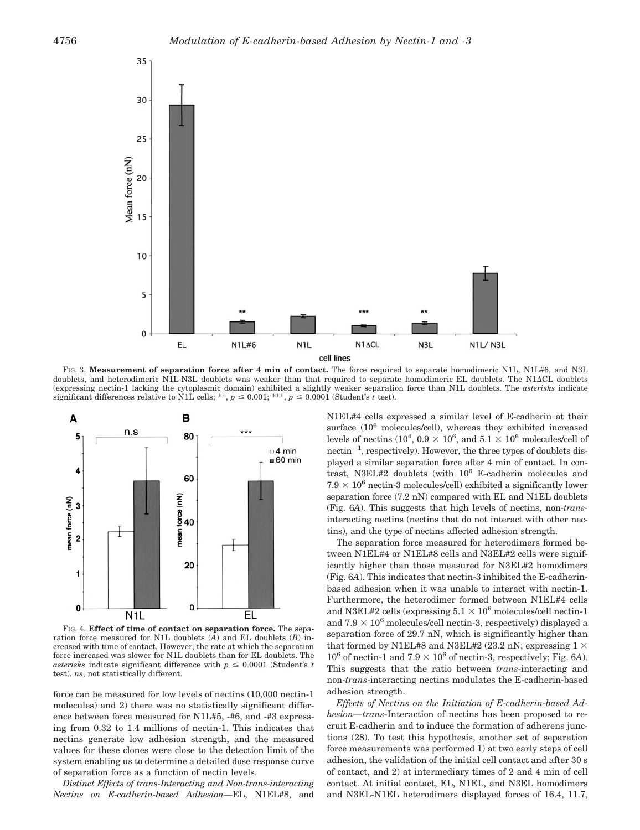

FIG. 3. **Measurement of separation force after 4 min of contact.** The force required to separate homodimeric N1L, N1L#6, and N3L doublets, and heterodimeric N1L-N3L doublets was weaker than that required to separate homodimeric EL doublets. The N1CL doublets (expressing nectin-1 lacking the cytoplasmic domain) exhibited a slightly weaker separation force than N1L doublets. The *asterisks* indicate significant differences relative to N1L cells; \*\*,  $p \le 0.001$ ; \*\*\*,  $p \le 0.0001$  (Student's t test).



FIG. 4. **Effect of time of contact on separation force.** The separation force measured for N1L doublets (*A*) and EL doublets (*B*) increased with time of contact. However, the rate at which the separation force increased was slower for N1L doublets than for EL doublets. The *asterisks* indicate significant difference with  $p \leq 0.0001$  (Student's t test). *ns*, not statistically different.

force can be measured for low levels of nectins (10,000 nectin-1 molecules) and 2) there was no statistically significant difference between force measured for N1L#5, -#6, and -#3 expressing from 0.32 to 1.4 millions of nectin-1. This indicates that nectins generate low adhesion strength, and the measured values for these clones were close to the detection limit of the system enabling us to determine a detailed dose response curve of separation force as a function of nectin levels.

*Distinct Effects of trans-Interacting and Non-trans-interacting Nectins on E-cadherin-based Adhesion—*EL, N1EL#8, and N1EL#4 cells expressed a similar level of E-cadherin at their surface (10<sup>6</sup> molecules/cell), whereas they exhibited increased levels of nectins ( $10^4$ ,  $0.9 \times 10^6$ , and  $5.1 \times 10^6$  molecules/cell of  $\text{nectin}^{-1}$ , respectively). However, the three types of doublets displayed a similar separation force after 4 min of contact. In contrast, N3EL#2 doublets (with 106 E-cadherin molecules and  $7.9 \times 10^6$  nectin-3 molecules/cell) exhibited a significantly lower separation force (7.2 nN) compared with EL and N1EL doublets (Fig. 6*A*). This suggests that high levels of nectins, non-*trans*interacting nectins (nectins that do not interact with other nectins), and the type of nectins affected adhesion strength.

The separation force measured for heterodimers formed between N1EL#4 or N1EL#8 cells and N3EL#2 cells were significantly higher than those measured for N3EL#2 homodimers (Fig. 6*A*). This indicates that nectin-3 inhibited the E-cadherinbased adhesion when it was unable to interact with nectin-1. Furthermore, the heterodimer formed between N1EL#4 cells and N3EL#2 cells (expressing  $5.1 \times 10^6$  molecules/cell nectin-1 and  $7.9 \times 10^6$  molecules/cell nectin-3, respectively) displayed a separation force of 29.7 nN, which is significantly higher than that formed by N1EL#8 and N3EL#2 (23.2 nN; expressing  $1 \times$  $10^6$  of nectin-1 and  $7.9 \times 10^6$  of nectin-3, respectively; Fig. 6A). This suggests that the ratio between *trans*-interacting and non-*trans*-interacting nectins modulates the E-cadherin-based adhesion strength.

*Effects of Nectins on the Initiation of E-cadherin-based Adhesion—trans*-Interaction of nectins has been proposed to recruit E-cadherin and to induce the formation of adherens junctions (28). To test this hypothesis, another set of separation force measurements was performed 1) at two early steps of cell adhesion, the validation of the initial cell contact and after 30 s of contact, and 2) at intermediary times of 2 and 4 min of cell contact. At initial contact, EL, N1EL, and N3EL homodimers and N3EL-N1EL heterodimers displayed forces of 16.4, 11.7,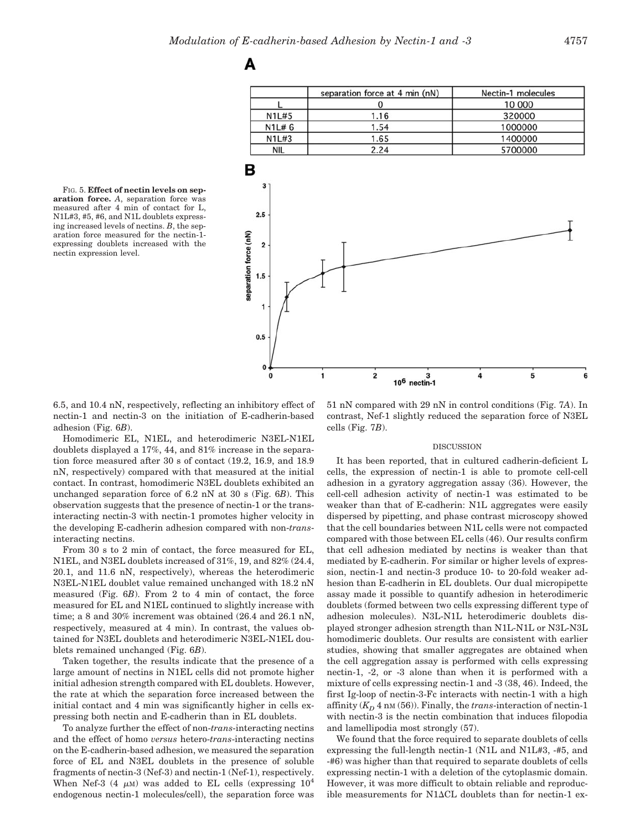A

FIG. 5. **Effect of nectin levels on separation force.** *A*, separation force was measured after 4 min of contact for L, N1L#3, #5, #6, and N1L doublets expressing increased levels of nectins. *B*, the separation force measured for the nectin-1 expressing doublets increased with the nectin expression level.



6.5, and 10.4 nN, respectively, reflecting an inhibitory effect of nectin-1 and nectin-3 on the initiation of E-cadherin-based adhesion (Fig. 6*B*).

Homodimeric EL, N1EL, and heterodimeric N3EL-N1EL doublets displayed a 17%, 44, and 81% increase in the separation force measured after 30 s of contact (19.2, 16.9, and 18.9 nN, respectively) compared with that measured at the initial contact. In contrast, homodimeric N3EL doublets exhibited an unchanged separation force of 6.2 nN at 30 s (Fig. 6*B*). This observation suggests that the presence of nectin-1 or the transinteracting nectin-3 with nectin-1 promotes higher velocity in the developing E-cadherin adhesion compared with non-*trans*interacting nectins.

From 30 s to 2 min of contact, the force measured for EL, N1EL, and N3EL doublets increased of 31%, 19, and 82% (24.4, 20.1, and 11.6 nN, respectively), whereas the heterodimeric N3EL-N1EL doublet value remained unchanged with 18.2 nN measured (Fig. 6*B*). From 2 to 4 min of contact, the force measured for EL and N1EL continued to slightly increase with time; a 8 and 30% increment was obtained (26.4 and 26.1 nN, respectively, measured at 4 min). In contrast, the values obtained for N3EL doublets and heterodimeric N3EL-N1EL doublets remained unchanged (Fig. 6*B*).

Taken together, the results indicate that the presence of a large amount of nectins in N1EL cells did not promote higher initial adhesion strength compared with EL doublets. However, the rate at which the separation force increased between the initial contact and 4 min was significantly higher in cells expressing both nectin and E-cadherin than in EL doublets.

To analyze further the effect of non-*trans*-interacting nectins and the effect of homo *versus* hetero-*trans*-interacting nectins on the E-cadherin-based adhesion, we measured the separation force of EL and N3EL doublets in the presence of soluble fragments of nectin-3 (Nef-3) and nectin-1 (Nef-1), respectively. When Nef-3 (4  $\mu$ M) was added to EL cells (expressing 10<sup>4</sup>) endogenous nectin-1 molecules/cell), the separation force was

51 nN compared with 29 nN in control conditions (Fig. 7*A*). In contrast, Nef-1 slightly reduced the separation force of N3EL cells (Fig. 7*B*).

### DISCUSSION

It has been reported, that in cultured cadherin-deficient L cells, the expression of nectin-1 is able to promote cell-cell adhesion in a gyratory aggregation assay (36). However, the cell-cell adhesion activity of nectin-1 was estimated to be weaker than that of E-cadherin: N1L aggregates were easily dispersed by pipetting, and phase contrast microscopy showed that the cell boundaries between N1L cells were not compacted compared with those between EL cells (46). Our results confirm that cell adhesion mediated by nectins is weaker than that mediated by E-cadherin. For similar or higher levels of expression, nectin-1 and nectin-3 produce 10- to 20-fold weaker adhesion than E-cadherin in EL doublets. Our dual micropipette assay made it possible to quantify adhesion in heterodimeric doublets (formed between two cells expressing different type of adhesion molecules). N3L-N1L heterodimeric doublets displayed stronger adhesion strength than N1L-N1L or N3L-N3L homodimeric doublets. Our results are consistent with earlier studies, showing that smaller aggregates are obtained when the cell aggregation assay is performed with cells expressing nectin-1, -2, or -3 alone than when it is performed with a mixture of cells expressing nectin-1 and -3 (38, 46). Indeed, the first Ig-loop of nectin-3-Fc interacts with nectin-1 with a high affinity  $(K_D 4 \text{ nm} (56))$ . Finally, the *trans*-interaction of nectin-1 with nectin-3 is the nectin combination that induces filopodia and lamellipodia most strongly (57).

We found that the force required to separate doublets of cells expressing the full-length nectin-1 (N1L and N1L#3, -#5, and -#6) was higher than that required to separate doublets of cells expressing nectin-1 with a deletion of the cytoplasmic domain. However, it was more difficult to obtain reliable and reproducible measurements for N1 $\Delta$ CL doublets than for nectin-1 ex-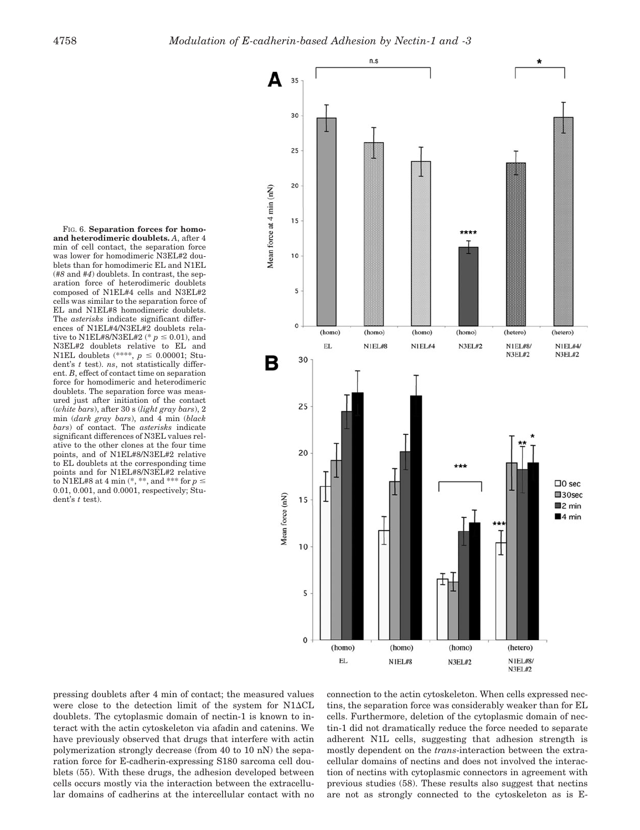FIG. 6. **Separation forces for homoand heterodimeric doublets.** *A*, after 4 min of cell contact, the separation force was lower for homodimeric N3EL#2 doublets than for homodimeric EL and N1EL (*#8* and *#4*) doublets. In contrast, the separation force of heterodimeric doublets composed of N1EL#4 cells and N3EL#2 cells was similar to the separation force of EL and N1EL#8 homodimeric doublets. The *asterisks* indicate significant differences of N1EL#4/N3EL#2 doublets relative to N1EL#8/N3EL#2 (\*  $p \le 0.01$ ), and N3EL#2 doublets relative to EL and N1EL doublets (\*\*\*\*,  $p \le 0.00001$ ; Student's *t* test). *ns*, not statistically different. *B*, effect of contact time on separation force for homodimeric and heterodimeric doublets. The separation force was measured just after initiation of the contact (*white bars*), after 30 s (*light gray bars*), 2 min (*dark gray bars*), and 4 min (*black bars*) of contact. The *asterisks* indicate significant differences of N3EL values relative to the other clones at the four time points, and of N1EL#8/N3EL#2 relative to EL doublets at the corresponding time points and for N1EL#8/N3EL#2 relative to N1EL#8 at 4 min  $(*, **$ , and \*\*\* for  $p \le$ 0.01, 0.001, and 0.0001, respectively; Student's *t* test).



pressing doublets after 4 min of contact; the measured values were close to the detection limit of the system for  $N1\Delta CL$ doublets. The cytoplasmic domain of nectin-1 is known to interact with the actin cytoskeleton via afadin and catenins. We have previously observed that drugs that interfere with actin polymerization strongly decrease (from 40 to 10 nN) the separation force for E-cadherin-expressing S180 sarcoma cell doublets (55). With these drugs, the adhesion developed between cells occurs mostly via the interaction between the extracellular domains of cadherins at the intercellular contact with no

connection to the actin cytoskeleton. When cells expressed nectins, the separation force was considerably weaker than for EL cells. Furthermore, deletion of the cytoplasmic domain of nectin-1 did not dramatically reduce the force needed to separate adherent N1L cells, suggesting that adhesion strength is mostly dependent on the *trans*-interaction between the extracellular domains of nectins and does not involved the interaction of nectins with cytoplasmic connectors in agreement with previous studies (58). These results also suggest that nectins are not as strongly connected to the cytoskeleton as is E-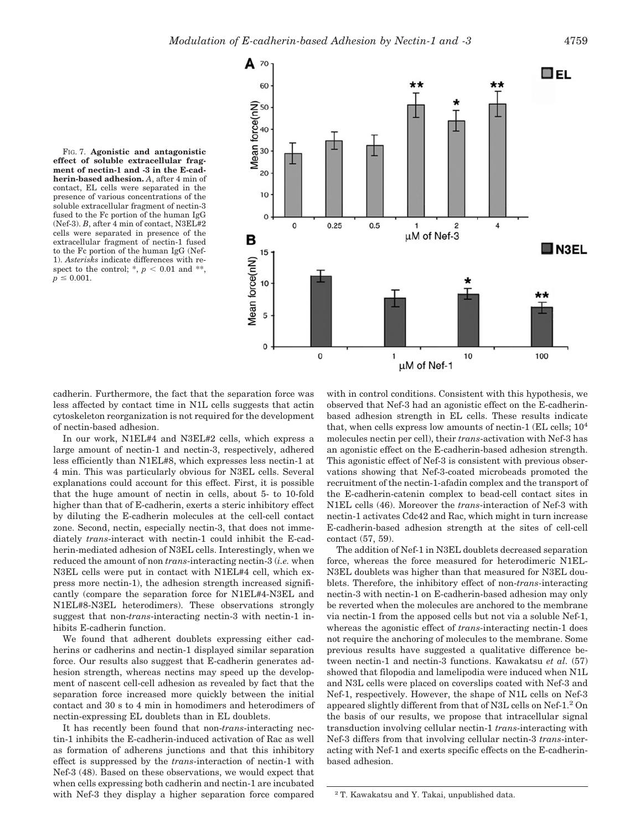



cadherin. Furthermore, the fact that the separation force was less affected by contact time in N1L cells suggests that actin cytoskeleton reorganization is not required for the development of nectin-based adhesion.

In our work, N1EL#4 and N3EL#2 cells, which express a large amount of nectin-1 and nectin-3, respectively, adhered less efficiently than N1EL#8, which expresses less nectin-1 at 4 min. This was particularly obvious for N3EL cells. Several explanations could account for this effect. First, it is possible that the huge amount of nectin in cells, about 5- to 10-fold higher than that of E-cadherin, exerts a steric inhibitory effect by diluting the E-cadherin molecules at the cell-cell contact zone. Second, nectin, especially nectin-3, that does not immediately *trans*-interact with nectin-1 could inhibit the E-cadherin-mediated adhesion of N3EL cells. Interestingly, when we reduced the amount of non *trans*-interacting nectin-3 (*i.e.* when N3EL cells were put in contact with N1EL#4 cell, which express more nectin-1), the adhesion strength increased significantly (compare the separation force for N1EL#4-N3EL and N1EL#8-N3EL heterodimers). These observations strongly suggest that non-*trans*-interacting nectin-3 with nectin-1 inhibits E-cadherin function.

We found that adherent doublets expressing either cadherins or cadherins and nectin-1 displayed similar separation force. Our results also suggest that E-cadherin generates adhesion strength, whereas nectins may speed up the development of nascent cell-cell adhesion as revealed by fact that the separation force increased more quickly between the initial contact and 30 s to 4 min in homodimers and heterodimers of nectin-expressing EL doublets than in EL doublets.

It has recently been found that non-*trans*-interacting nectin-1 inhibits the E-cadherin-induced activation of Rac as well as formation of adherens junctions and that this inhibitory effect is suppressed by the *trans*-interaction of nectin-1 with Nef-3 (48). Based on these observations, we would expect that when cells expressing both cadherin and nectin-1 are incubated with Nef-3 they display a higher separation force compared

with in control conditions. Consistent with this hypothesis, we observed that Nef-3 had an agonistic effect on the E-cadherinbased adhesion strength in EL cells. These results indicate that, when cells express low amounts of nectin-1 (EL cells;  $10<sup>4</sup>$ molecules nectin per cell), their *trans*-activation with Nef-3 has an agonistic effect on the E-cadherin-based adhesion strength. This agonistic effect of Nef-3 is consistent with previous observations showing that Nef-3-coated microbeads promoted the recruitment of the nectin-1-afadin complex and the transport of the E-cadherin-catenin complex to bead-cell contact sites in N1EL cells (46). Moreover the *trans*-interaction of Nef-3 with nectin-1 activates Cdc42 and Rac, which might in turn increase E-cadherin-based adhesion strength at the sites of cell-cell contact (57, 59).

The addition of Nef-1 in N3EL doublets decreased separation force, whereas the force measured for heterodimeric N1EL-N3EL doublets was higher than that measured for N3EL doublets. Therefore, the inhibitory effect of non-*trans-*interacting nectin-3 with nectin-1 on E-cadherin-based adhesion may only be reverted when the molecules are anchored to the membrane via nectin-1 from the apposed cells but not via a soluble Nef-1, whereas the agonistic effect of *trans*-interacting nectin-1 does not require the anchoring of molecules to the membrane. Some previous results have suggested a qualitative difference between nectin-1 and nectin-3 functions. Kawakatsu *et al.* (57) showed that filopodia and lamelipodia were induced when N1L and N3L cells were placed on coverslips coated with Nef-3 and Nef-1, respectively. However, the shape of N1L cells on Nef-3 appeared slightly different from that of N3L cells on Nef-1.2 On the basis of our results, we propose that intracellular signal transduction involving cellular nectin-1 *trans*-interacting with Nef-3 differs from that involving cellular nectin-3 *trans*-interacting with Nef-1 and exerts specific effects on the E-cadherinbased adhesion.

<sup>2</sup> T. Kawakatsu and Y. Takai, unpublished data.